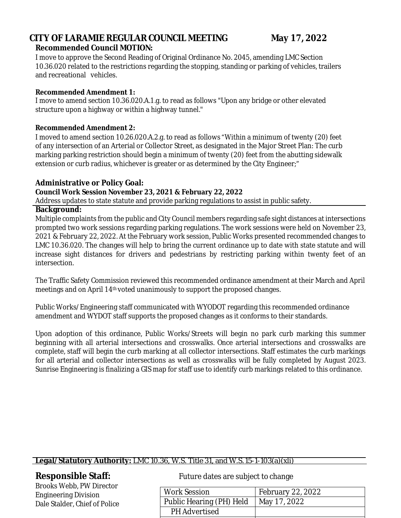## **CITY OF LARAMIE REGULAR COUNCIL MEETING May 17, 2022 Recommended Council MOTION:**

I move to approve the Second Reading of Original Ordinance No. 2045, amending LMC Section 10.36.020 related to the restrictions regarding the stopping, standing or parking of vehicles, trailers and recreational vehicles.

#### **Recommended Amendment 1:**

I move to amend section 10.36.020.A.1.g. to read as follows "Upon any bridge or other elevated structure upon a highway or within a highway tunnel."

#### **Recommended Amendment 2:**

I moved to amend section 10.26.020.A.2.g. to read as follows "Within a minimum of twenty (20) feet of any intersection of an Arterial or Collector Street, as designated in the Major Street Plan: The curb marking parking restriction should begin a minimum of twenty (20) feet from the abutting sidewalk extension or curb radius, whichever is greater or as determined by the City Engineer;"

## **Administrative or Policy Goal:**

## **Council Work Session November 23, 2021 & February 22, 2022**

Address updates to state statute and provide parking regulations to assist in public safety.

#### **Background:**

Multiple complaints from the public and City Council members regarding safe sight distances at intersections prompted two work sessions regarding parking regulations. The work sessions were held on November 23, 2021 & February 22, 2022. At the February work session, Public Works presented recommended changes to LMC 10.36.020. The changes will help to bring the current ordinance up to date with state statute and will increase sight distances for drivers and pedestrians by restricting parking within twenty feet of an intersection.

The Traffic Safety Commission reviewed this recommended ordinance amendment at their March and April meetings and on April 14th voted unanimously to support the proposed changes.

Public Works/Engineering staff communicated with WYODOT regarding this recommended ordinance amendment and WYDOT staff supports the proposed changes as it conforms to their standards.

Upon adoption of this ordinance, Public Works/Streets will begin no park curb marking this summer beginning with all arterial intersections and crosswalks. Once arterial intersections and crosswalks are complete, staff will begin the curb marking at all collector intersections. Staff estimates the curb markings for all arterial and collector intersections as well as crosswalks will be fully completed by August 2023. Sunrise Engineering is finalizing a GIS map for staff use to identify curb markings related to this ordinance.

## **Legal/Statutory Authority:** LMC 10.36, W.S. Title 31, and W.S.15-1-103(a)(xli)

Brooks Webb, PW Director Engineering Division Dale Stalder, Chief of Police

# **Responsible Staff:** Future dates are subject to change

| <b>Work Session</b>      | February 22, 2022 |
|--------------------------|-------------------|
| Public Hearing (PH) Held | May 17, 2022      |
| <b>PH</b> Advertised     |                   |